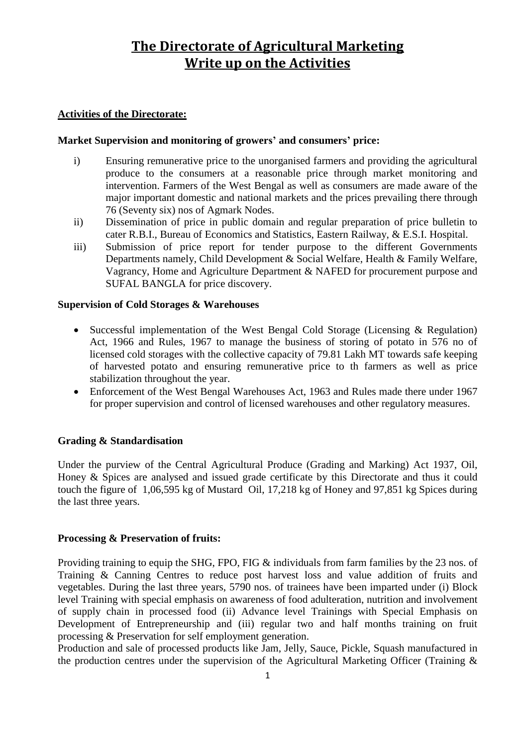# **The Directorate of Agricultural Marketing Write up on the Activities**

## **Activities of the Directorate:**

## **Market Supervision and monitoring of growers' and consumers' price:**

- i) Ensuring remunerative price to the unorganised farmers and providing the agricultural produce to the consumers at a reasonable price through market monitoring and intervention. Farmers of the West Bengal as well as consumers are made aware of the major important domestic and national markets and the prices prevailing there through 76 (Seventy six) nos of Agmark Nodes.
- ii) Dissemination of price in public domain and regular preparation of price bulletin to cater R.B.I., Bureau of Economics and Statistics, Eastern Railway, & E.S.I. Hospital.
- iii) Submission of price report for tender purpose to the different Governments Departments namely, Child Development & Social Welfare, Health & Family Welfare, Vagrancy, Home and Agriculture Department & NAFED for procurement purpose and SUFAL BANGLA for price discovery.

## **Supervision of Cold Storages & Warehouses**

- Successful implementation of the West Bengal Cold Storage (Licensing & Regulation) Act, 1966 and Rules, 1967 to manage the business of storing of potato in 576 no of licensed cold storages with the collective capacity of 79.81 Lakh MT towards safe keeping of harvested potato and ensuring remunerative price to th farmers as well as price stabilization throughout the year.
- Enforcement of the West Bengal Warehouses Act, 1963 and Rules made there under 1967 for proper supervision and control of licensed warehouses and other regulatory measures.

## **Grading & Standardisation**

Under the purview of the Central Agricultural Produce (Grading and Marking) Act 1937, Oil, Honey & Spices are analysed and issued grade certificate by this Directorate and thus it could touch the figure of 1,06,595 kg of Mustard Oil, 17,218 kg of Honey and 97,851 kg Spices during the last three years.

## **Processing & Preservation of fruits:**

Providing training to equip the SHG, FPO, FIG & individuals from farm families by the 23 nos. of Training & Canning Centres to reduce post harvest loss and value addition of fruits and vegetables. During the last three years, 5790 nos. of trainees have been imparted under (i) Block level Training with special emphasis on awareness of food adulteration, nutrition and involvement of supply chain in processed food (ii) Advance level Trainings with Special Emphasis on Development of Entrepreneurship and (iii) regular two and half months training on fruit processing & Preservation for self employment generation.

Production and sale of processed products like Jam, Jelly, Sauce, Pickle, Squash manufactured in the production centres under the supervision of the Agricultural Marketing Officer (Training  $\&$